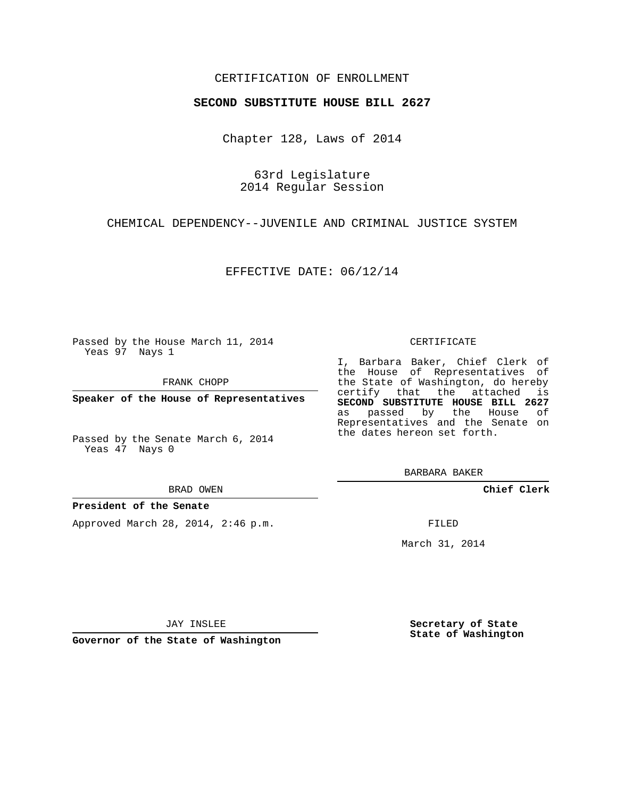# CERTIFICATION OF ENROLLMENT

## **SECOND SUBSTITUTE HOUSE BILL 2627**

Chapter 128, Laws of 2014

63rd Legislature 2014 Regular Session

CHEMICAL DEPENDENCY--JUVENILE AND CRIMINAL JUSTICE SYSTEM

EFFECTIVE DATE: 06/12/14

Passed by the House March 11, 2014 Yeas 97 Nays 1

FRANK CHOPP

**Speaker of the House of Representatives**

Passed by the Senate March 6, 2014 Yeas 47 Nays 0

BRAD OWEN

### **President of the Senate**

Approved March 28, 2014, 2:46 p.m.

#### CERTIFICATE

I, Barbara Baker, Chief Clerk of the House of Representatives of the State of Washington, do hereby certify that the attached is **SECOND SUBSTITUTE HOUSE BILL 2627** as passed by the House of Representatives and the Senate on the dates hereon set forth.

BARBARA BAKER

**Chief Clerk**

FILED

March 31, 2014

JAY INSLEE

**Governor of the State of Washington**

**Secretary of State State of Washington**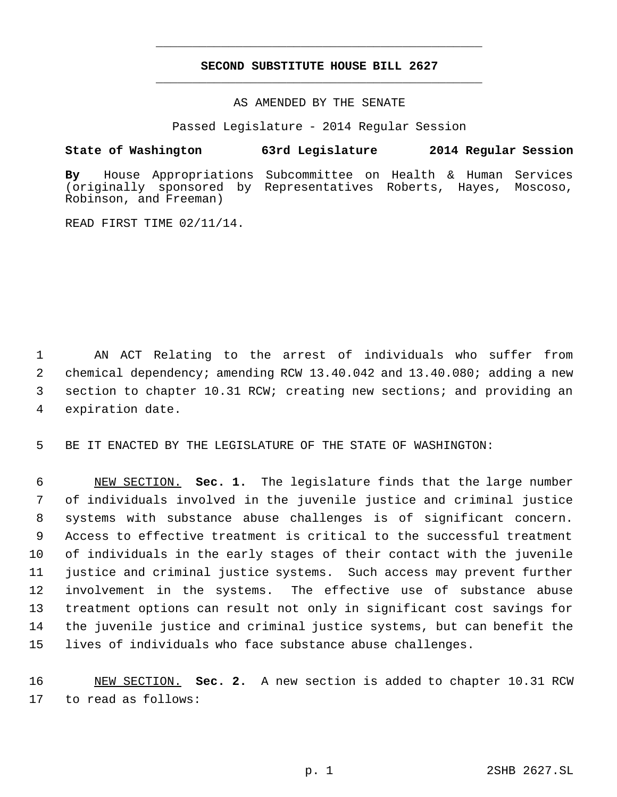# **SECOND SUBSTITUTE HOUSE BILL 2627** \_\_\_\_\_\_\_\_\_\_\_\_\_\_\_\_\_\_\_\_\_\_\_\_\_\_\_\_\_\_\_\_\_\_\_\_\_\_\_\_\_\_\_\_\_

\_\_\_\_\_\_\_\_\_\_\_\_\_\_\_\_\_\_\_\_\_\_\_\_\_\_\_\_\_\_\_\_\_\_\_\_\_\_\_\_\_\_\_\_\_

## AS AMENDED BY THE SENATE

Passed Legislature - 2014 Regular Session

# **State of Washington 63rd Legislature 2014 Regular Session**

**By** House Appropriations Subcommittee on Health & Human Services (originally sponsored by Representatives Roberts, Hayes, Moscoso, Robinson, and Freeman)

READ FIRST TIME 02/11/14.

 AN ACT Relating to the arrest of individuals who suffer from chemical dependency; amending RCW 13.40.042 and 13.40.080; adding a new section to chapter 10.31 RCW; creating new sections; and providing an expiration date.

BE IT ENACTED BY THE LEGISLATURE OF THE STATE OF WASHINGTON:

 NEW SECTION. **Sec. 1.** The legislature finds that the large number of individuals involved in the juvenile justice and criminal justice systems with substance abuse challenges is of significant concern. Access to effective treatment is critical to the successful treatment of individuals in the early stages of their contact with the juvenile justice and criminal justice systems. Such access may prevent further involvement in the systems. The effective use of substance abuse treatment options can result not only in significant cost savings for the juvenile justice and criminal justice systems, but can benefit the lives of individuals who face substance abuse challenges.

 NEW SECTION. **Sec. 2.** A new section is added to chapter 10.31 RCW to read as follows: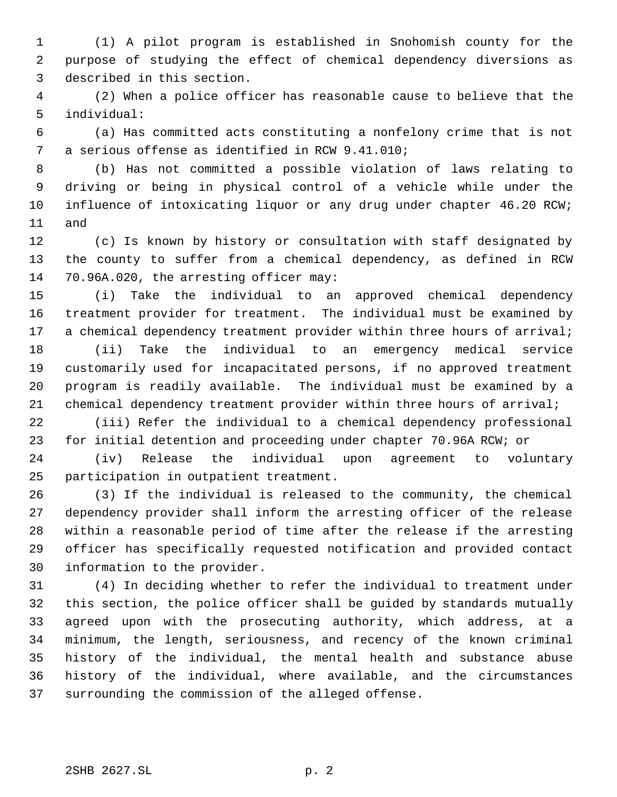(1) A pilot program is established in Snohomish county for the purpose of studying the effect of chemical dependency diversions as described in this section.

 (2) When a police officer has reasonable cause to believe that the individual:

 (a) Has committed acts constituting a nonfelony crime that is not a serious offense as identified in RCW 9.41.010;

 (b) Has not committed a possible violation of laws relating to driving or being in physical control of a vehicle while under the influence of intoxicating liquor or any drug under chapter 46.20 RCW; and

 (c) Is known by history or consultation with staff designated by the county to suffer from a chemical dependency, as defined in RCW 70.96A.020, the arresting officer may:

 (i) Take the individual to an approved chemical dependency treatment provider for treatment. The individual must be examined by 17 a chemical dependency treatment provider within three hours of arrival;

 (ii) Take the individual to an emergency medical service customarily used for incapacitated persons, if no approved treatment program is readily available. The individual must be examined by a chemical dependency treatment provider within three hours of arrival;

 (iii) Refer the individual to a chemical dependency professional for initial detention and proceeding under chapter 70.96A RCW; or

 (iv) Release the individual upon agreement to voluntary participation in outpatient treatment.

 (3) If the individual is released to the community, the chemical dependency provider shall inform the arresting officer of the release within a reasonable period of time after the release if the arresting officer has specifically requested notification and provided contact information to the provider.

 (4) In deciding whether to refer the individual to treatment under this section, the police officer shall be guided by standards mutually agreed upon with the prosecuting authority, which address, at a minimum, the length, seriousness, and recency of the known criminal history of the individual, the mental health and substance abuse history of the individual, where available, and the circumstances surrounding the commission of the alleged offense.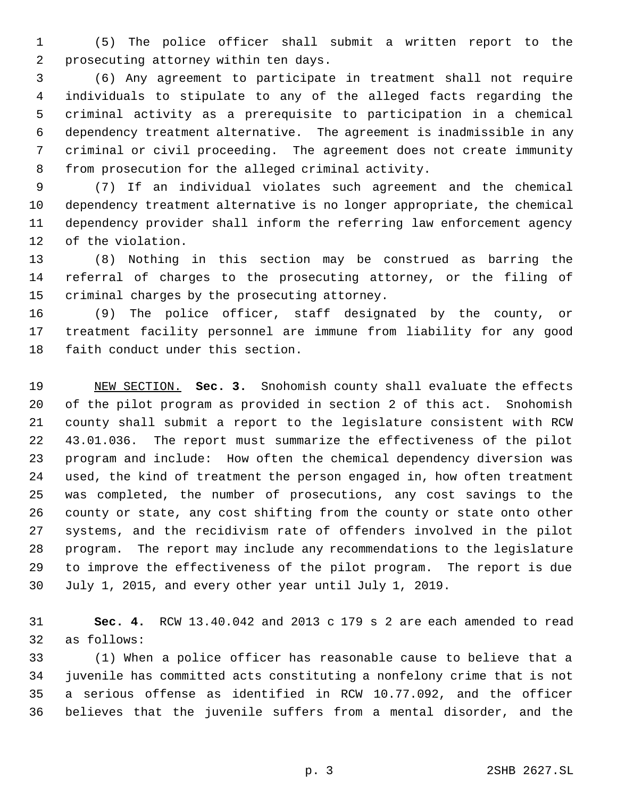(5) The police officer shall submit a written report to the prosecuting attorney within ten days.

 (6) Any agreement to participate in treatment shall not require individuals to stipulate to any of the alleged facts regarding the criminal activity as a prerequisite to participation in a chemical dependency treatment alternative. The agreement is inadmissible in any criminal or civil proceeding. The agreement does not create immunity from prosecution for the alleged criminal activity.

 (7) If an individual violates such agreement and the chemical dependency treatment alternative is no longer appropriate, the chemical dependency provider shall inform the referring law enforcement agency of the violation.

 (8) Nothing in this section may be construed as barring the referral of charges to the prosecuting attorney, or the filing of criminal charges by the prosecuting attorney.

 (9) The police officer, staff designated by the county, or treatment facility personnel are immune from liability for any good faith conduct under this section.

 NEW SECTION. **Sec. 3.** Snohomish county shall evaluate the effects of the pilot program as provided in section 2 of this act. Snohomish county shall submit a report to the legislature consistent with RCW 43.01.036. The report must summarize the effectiveness of the pilot program and include: How often the chemical dependency diversion was used, the kind of treatment the person engaged in, how often treatment was completed, the number of prosecutions, any cost savings to the county or state, any cost shifting from the county or state onto other systems, and the recidivism rate of offenders involved in the pilot program. The report may include any recommendations to the legislature to improve the effectiveness of the pilot program. The report is due July 1, 2015, and every other year until July 1, 2019.

 **Sec. 4.** RCW 13.40.042 and 2013 c 179 s 2 are each amended to read as follows:

 (1) When a police officer has reasonable cause to believe that a juvenile has committed acts constituting a nonfelony crime that is not a serious offense as identified in RCW 10.77.092, and the officer believes that the juvenile suffers from a mental disorder, and the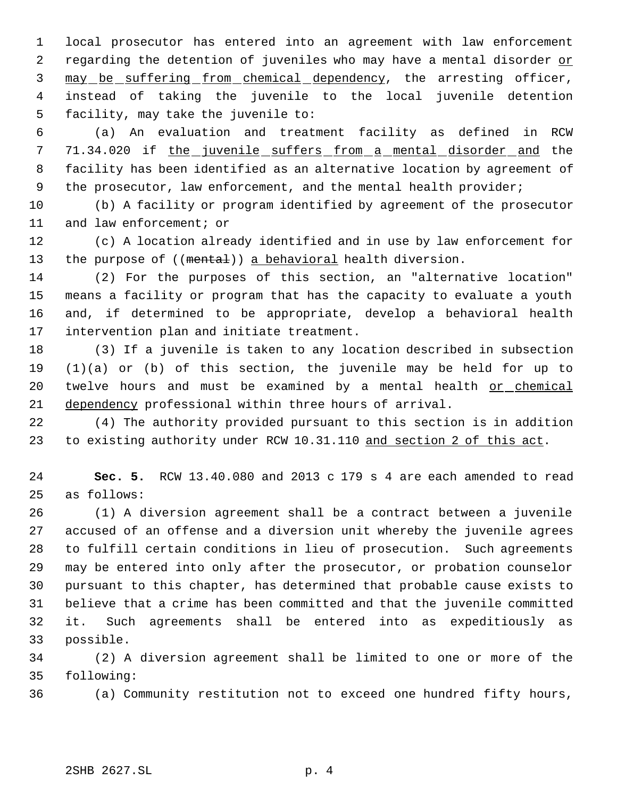local prosecutor has entered into an agreement with law enforcement 2 regarding the detention of juveniles who may have a mental disorder or 3 may be suffering from chemical dependency, the arresting officer, instead of taking the juvenile to the local juvenile detention facility, may take the juvenile to:

 (a) An evaluation and treatment facility as defined in RCW 7 71.34.020 if the juvenile suffers from a mental disorder and the facility has been identified as an alternative location by agreement of 9 the prosecutor, law enforcement, and the mental health provider;

 (b) A facility or program identified by agreement of the prosecutor and law enforcement; or

 (c) A location already identified and in use by law enforcement for 13 the purpose of ((mental)) a behavioral health diversion.

 (2) For the purposes of this section, an "alternative location" means a facility or program that has the capacity to evaluate a youth and, if determined to be appropriate, develop a behavioral health intervention plan and initiate treatment.

 (3) If a juvenile is taken to any location described in subsection (1)(a) or (b) of this section, the juvenile may be held for up to 20 twelve hours and must be examined by a mental health or chemical 21 dependency professional within three hours of arrival.

 (4) The authority provided pursuant to this section is in addition to existing authority under RCW 10.31.110 and section 2 of this act.

 **Sec. 5.** RCW 13.40.080 and 2013 c 179 s 4 are each amended to read as follows:

 (1) A diversion agreement shall be a contract between a juvenile accused of an offense and a diversion unit whereby the juvenile agrees to fulfill certain conditions in lieu of prosecution. Such agreements may be entered into only after the prosecutor, or probation counselor pursuant to this chapter, has determined that probable cause exists to believe that a crime has been committed and that the juvenile committed it. Such agreements shall be entered into as expeditiously as possible.

 (2) A diversion agreement shall be limited to one or more of the following:

(a) Community restitution not to exceed one hundred fifty hours,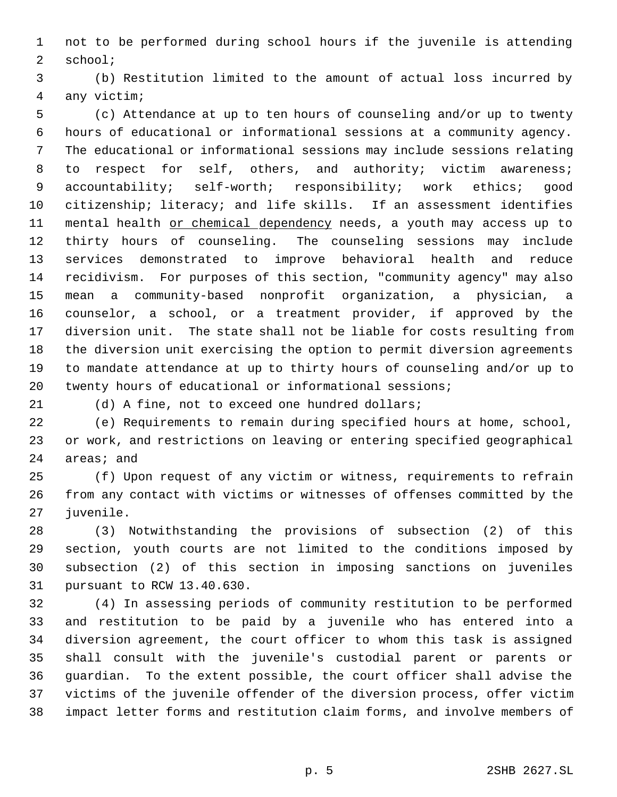not to be performed during school hours if the juvenile is attending school;

 (b) Restitution limited to the amount of actual loss incurred by any victim;

 (c) Attendance at up to ten hours of counseling and/or up to twenty hours of educational or informational sessions at a community agency. The educational or informational sessions may include sessions relating 8 to respect for self, others, and authority; victim awareness; 9 accountability; self-worth; responsibility; work ethics; good citizenship; literacy; and life skills. If an assessment identifies 11 mental health or chemical dependency needs, a youth may access up to thirty hours of counseling. The counseling sessions may include services demonstrated to improve behavioral health and reduce recidivism. For purposes of this section, "community agency" may also mean a community-based nonprofit organization, a physician, a counselor, a school, or a treatment provider, if approved by the diversion unit. The state shall not be liable for costs resulting from the diversion unit exercising the option to permit diversion agreements to mandate attendance at up to thirty hours of counseling and/or up to twenty hours of educational or informational sessions;

(d) A fine, not to exceed one hundred dollars;

 (e) Requirements to remain during specified hours at home, school, or work, and restrictions on leaving or entering specified geographical areas; and

 (f) Upon request of any victim or witness, requirements to refrain from any contact with victims or witnesses of offenses committed by the juvenile.

 (3) Notwithstanding the provisions of subsection (2) of this section, youth courts are not limited to the conditions imposed by subsection (2) of this section in imposing sanctions on juveniles pursuant to RCW 13.40.630.

 (4) In assessing periods of community restitution to be performed and restitution to be paid by a juvenile who has entered into a diversion agreement, the court officer to whom this task is assigned shall consult with the juvenile's custodial parent or parents or guardian. To the extent possible, the court officer shall advise the victims of the juvenile offender of the diversion process, offer victim impact letter forms and restitution claim forms, and involve members of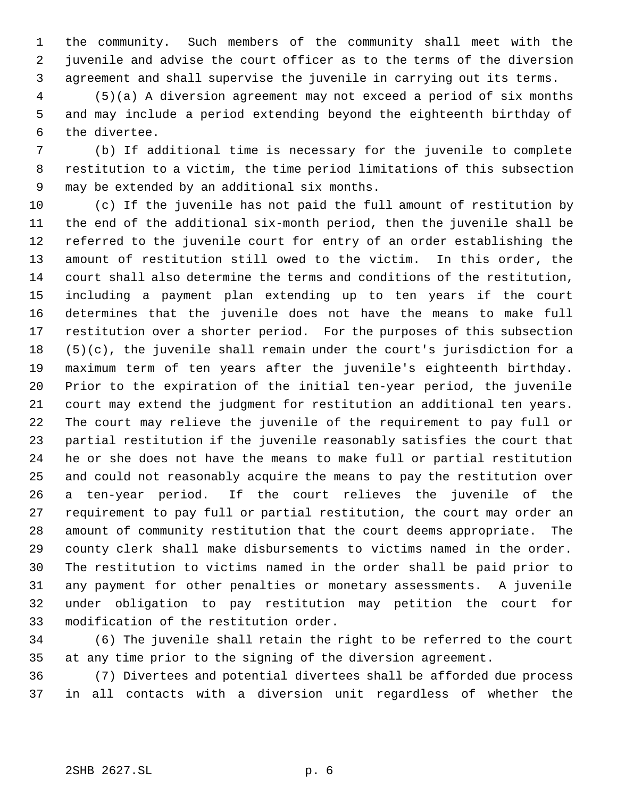the community. Such members of the community shall meet with the juvenile and advise the court officer as to the terms of the diversion agreement and shall supervise the juvenile in carrying out its terms.

 (5)(a) A diversion agreement may not exceed a period of six months and may include a period extending beyond the eighteenth birthday of the divertee.

 (b) If additional time is necessary for the juvenile to complete restitution to a victim, the time period limitations of this subsection may be extended by an additional six months.

 (c) If the juvenile has not paid the full amount of restitution by the end of the additional six-month period, then the juvenile shall be referred to the juvenile court for entry of an order establishing the amount of restitution still owed to the victim. In this order, the court shall also determine the terms and conditions of the restitution, including a payment plan extending up to ten years if the court determines that the juvenile does not have the means to make full restitution over a shorter period. For the purposes of this subsection (5)(c), the juvenile shall remain under the court's jurisdiction for a maximum term of ten years after the juvenile's eighteenth birthday. Prior to the expiration of the initial ten-year period, the juvenile court may extend the judgment for restitution an additional ten years. The court may relieve the juvenile of the requirement to pay full or partial restitution if the juvenile reasonably satisfies the court that he or she does not have the means to make full or partial restitution and could not reasonably acquire the means to pay the restitution over a ten-year period. If the court relieves the juvenile of the requirement to pay full or partial restitution, the court may order an amount of community restitution that the court deems appropriate. The county clerk shall make disbursements to victims named in the order. The restitution to victims named in the order shall be paid prior to any payment for other penalties or monetary assessments. A juvenile under obligation to pay restitution may petition the court for modification of the restitution order.

 (6) The juvenile shall retain the right to be referred to the court at any time prior to the signing of the diversion agreement.

 (7) Divertees and potential divertees shall be afforded due process in all contacts with a diversion unit regardless of whether the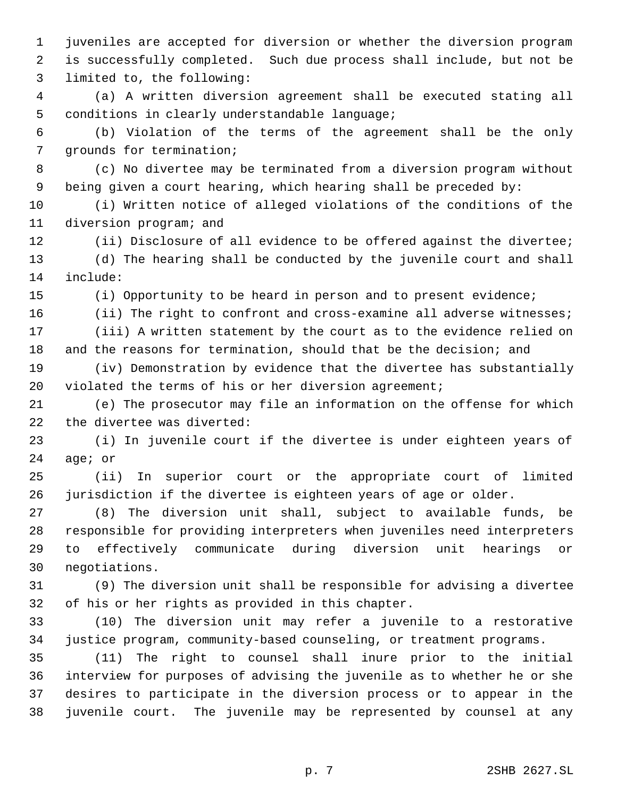juveniles are accepted for diversion or whether the diversion program is successfully completed. Such due process shall include, but not be limited to, the following:

 (a) A written diversion agreement shall be executed stating all conditions in clearly understandable language;

 (b) Violation of the terms of the agreement shall be the only grounds for termination;

 (c) No divertee may be terminated from a diversion program without being given a court hearing, which hearing shall be preceded by:

 (i) Written notice of alleged violations of the conditions of the diversion program; and

 (ii) Disclosure of all evidence to be offered against the divertee; (d) The hearing shall be conducted by the juvenile court and shall include:

(i) Opportunity to be heard in person and to present evidence;

16 (ii) The right to confront and cross-examine all adverse witnesses;

 (iii) A written statement by the court as to the evidence relied on 18 and the reasons for termination, should that be the decision; and

 (iv) Demonstration by evidence that the divertee has substantially 20 violated the terms of his or her diversion agreement;

 (e) The prosecutor may file an information on the offense for which the divertee was diverted:

 (i) In juvenile court if the divertee is under eighteen years of age; or

 (ii) In superior court or the appropriate court of limited jurisdiction if the divertee is eighteen years of age or older.

 (8) The diversion unit shall, subject to available funds, be responsible for providing interpreters when juveniles need interpreters to effectively communicate during diversion unit hearings or negotiations.

 (9) The diversion unit shall be responsible for advising a divertee of his or her rights as provided in this chapter.

 (10) The diversion unit may refer a juvenile to a restorative justice program, community-based counseling, or treatment programs.

 (11) The right to counsel shall inure prior to the initial interview for purposes of advising the juvenile as to whether he or she desires to participate in the diversion process or to appear in the juvenile court. The juvenile may be represented by counsel at any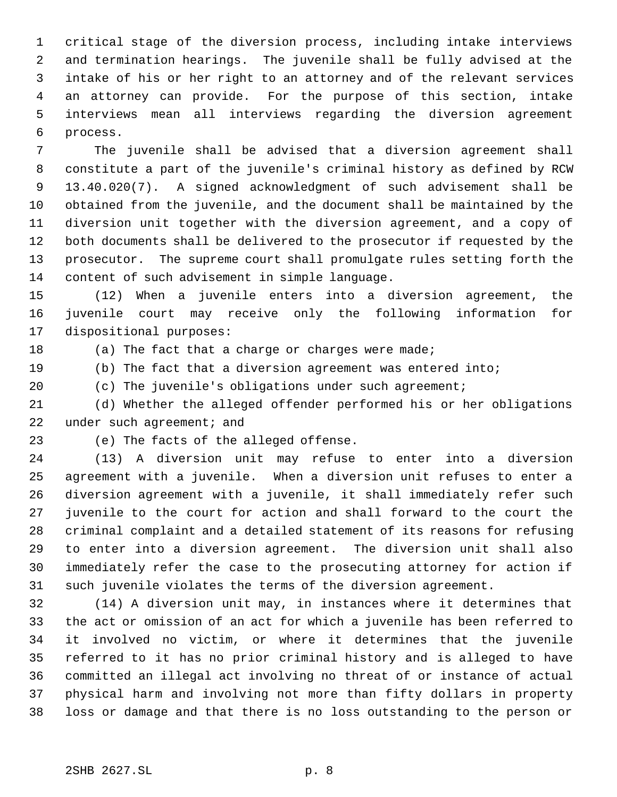critical stage of the diversion process, including intake interviews and termination hearings. The juvenile shall be fully advised at the intake of his or her right to an attorney and of the relevant services an attorney can provide. For the purpose of this section, intake interviews mean all interviews regarding the diversion agreement process.

 The juvenile shall be advised that a diversion agreement shall constitute a part of the juvenile's criminal history as defined by RCW 13.40.020(7). A signed acknowledgment of such advisement shall be obtained from the juvenile, and the document shall be maintained by the diversion unit together with the diversion agreement, and a copy of both documents shall be delivered to the prosecutor if requested by the prosecutor. The supreme court shall promulgate rules setting forth the content of such advisement in simple language.

 (12) When a juvenile enters into a diversion agreement, the juvenile court may receive only the following information for dispositional purposes:

18 (a) The fact that a charge or charges were made;

(b) The fact that a diversion agreement was entered into;

20 (c) The juvenile's obligations under such agreement;

 (d) Whether the alleged offender performed his or her obligations 22 under such agreement; and

(e) The facts of the alleged offense.

 (13) A diversion unit may refuse to enter into a diversion agreement with a juvenile. When a diversion unit refuses to enter a diversion agreement with a juvenile, it shall immediately refer such juvenile to the court for action and shall forward to the court the criminal complaint and a detailed statement of its reasons for refusing to enter into a diversion agreement. The diversion unit shall also immediately refer the case to the prosecuting attorney for action if such juvenile violates the terms of the diversion agreement.

 (14) A diversion unit may, in instances where it determines that the act or omission of an act for which a juvenile has been referred to it involved no victim, or where it determines that the juvenile referred to it has no prior criminal history and is alleged to have committed an illegal act involving no threat of or instance of actual physical harm and involving not more than fifty dollars in property loss or damage and that there is no loss outstanding to the person or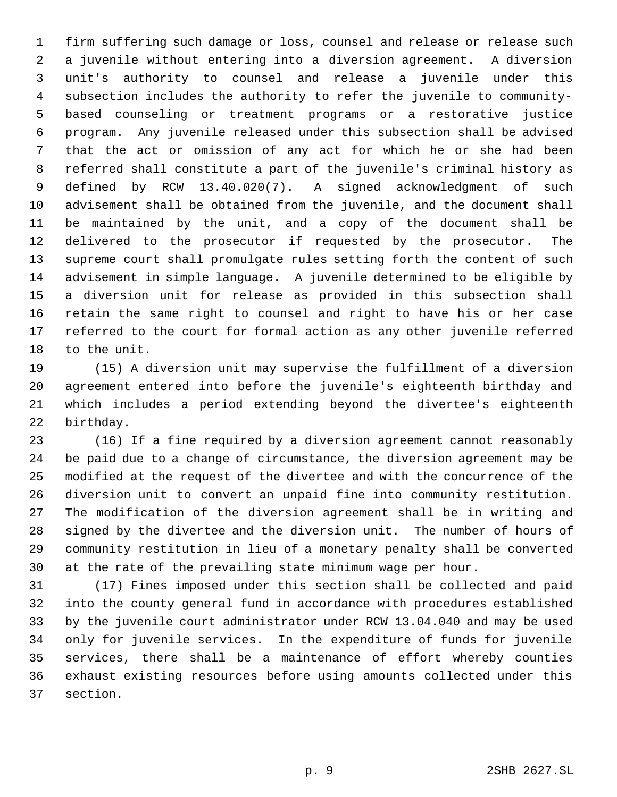firm suffering such damage or loss, counsel and release or release such a juvenile without entering into a diversion agreement. A diversion unit's authority to counsel and release a juvenile under this subsection includes the authority to refer the juvenile to community- based counseling or treatment programs or a restorative justice program. Any juvenile released under this subsection shall be advised that the act or omission of any act for which he or she had been referred shall constitute a part of the juvenile's criminal history as defined by RCW 13.40.020(7). A signed acknowledgment of such advisement shall be obtained from the juvenile, and the document shall be maintained by the unit, and a copy of the document shall be delivered to the prosecutor if requested by the prosecutor. The supreme court shall promulgate rules setting forth the content of such advisement in simple language. A juvenile determined to be eligible by a diversion unit for release as provided in this subsection shall retain the same right to counsel and right to have his or her case referred to the court for formal action as any other juvenile referred to the unit.

 (15) A diversion unit may supervise the fulfillment of a diversion agreement entered into before the juvenile's eighteenth birthday and which includes a period extending beyond the divertee's eighteenth birthday.

 (16) If a fine required by a diversion agreement cannot reasonably be paid due to a change of circumstance, the diversion agreement may be modified at the request of the divertee and with the concurrence of the diversion unit to convert an unpaid fine into community restitution. The modification of the diversion agreement shall be in writing and signed by the divertee and the diversion unit. The number of hours of community restitution in lieu of a monetary penalty shall be converted at the rate of the prevailing state minimum wage per hour.

 (17) Fines imposed under this section shall be collected and paid into the county general fund in accordance with procedures established by the juvenile court administrator under RCW 13.04.040 and may be used only for juvenile services. In the expenditure of funds for juvenile services, there shall be a maintenance of effort whereby counties exhaust existing resources before using amounts collected under this section.